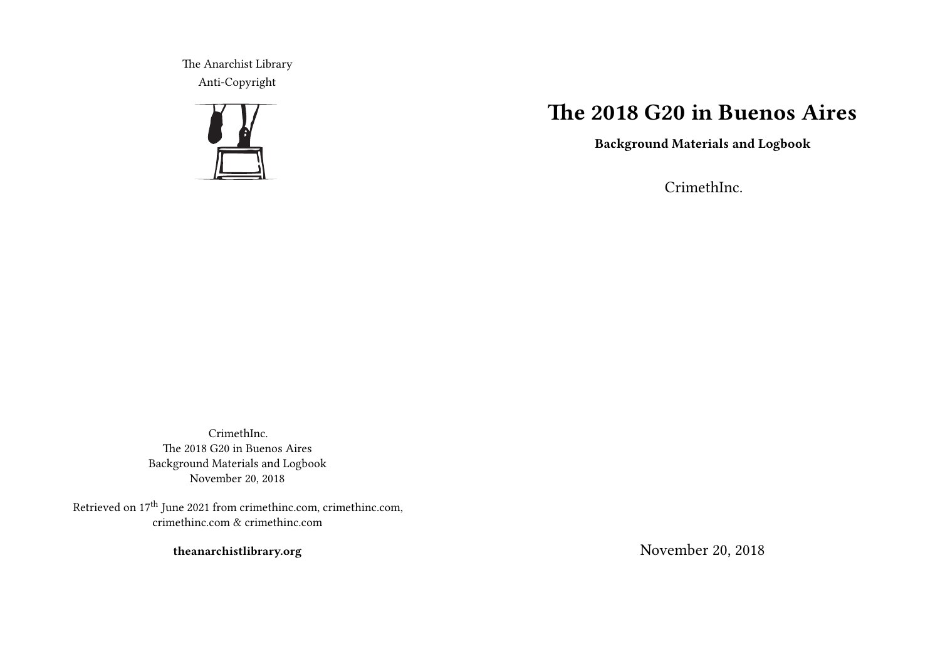The Anarchist Library Anti-Copyright



# **The 2018 G20 in Buenos Aires**

**Background Materials and Logbook**

CrimethInc.

CrimethInc. The 2018 G20 in Buenos Aires Background Materials and Logbook November 20, 2018

Retrieved on 17<sup>th</sup> June 2021 from crimethinc.com, crimethinc.com, crimethinc.com & crimethinc.com

**theanarchistlibrary.org**

November 20, 2018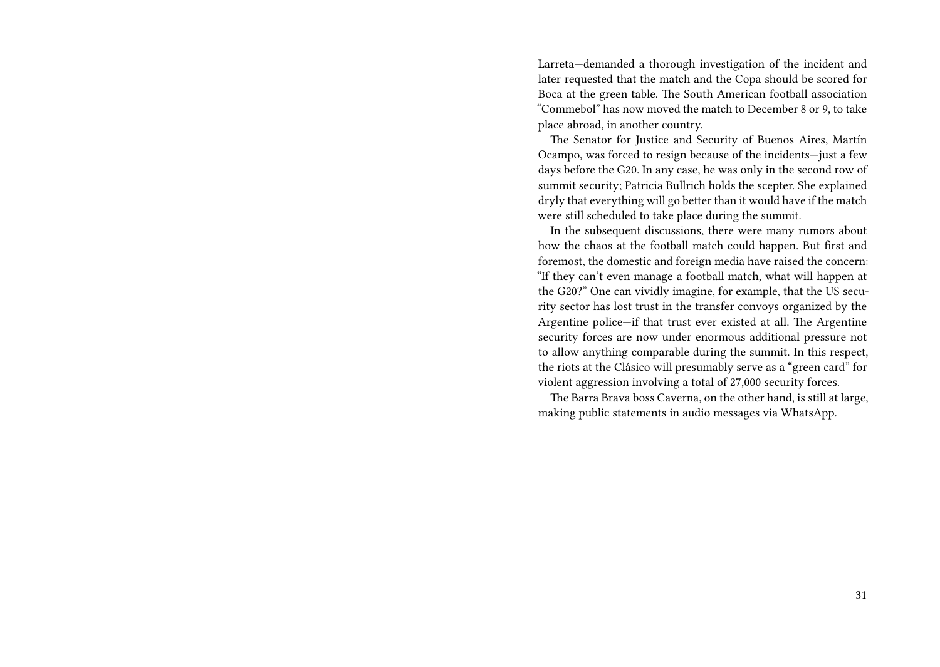Larreta—demanded a thorough investigation of the incident and later requested that the match and the Copa should be scored for Boca at the green table. The South American football association "Commebol" has now moved the match to December 8 or 9, to take place abroad, in another country.

The Senator for Justice and Security of Buenos Aires, Martín Ocampo, was forced to resign because of the incidents—just a few days before the G20. In any case, he was only in the second row of summit security; Patricia Bullrich holds the scepter. She explained dryly that everything will go better than it would have if the match were still scheduled to take place during the summit.

In the subsequent discussions, there were many rumors about how the chaos at the football match could happen. But first and foremost, the domestic and foreign media have raised the concern: "If they can't even manage a football match, what will happen at the G20?" One can vividly imagine, for example, that the US security sector has lost trust in the transfer convoys organized by the Argentine police—if that trust ever existed at all. The Argentine security forces are now under enormous additional pressure not to allow anything comparable during the summit. In this respect, the riots at the Clásico will presumably serve as a "green card" for violent aggression involving a total of 27,000 security forces.

The Barra Brava boss Caverna, on the other hand, is still at large, making public statements in audio messages via WhatsApp.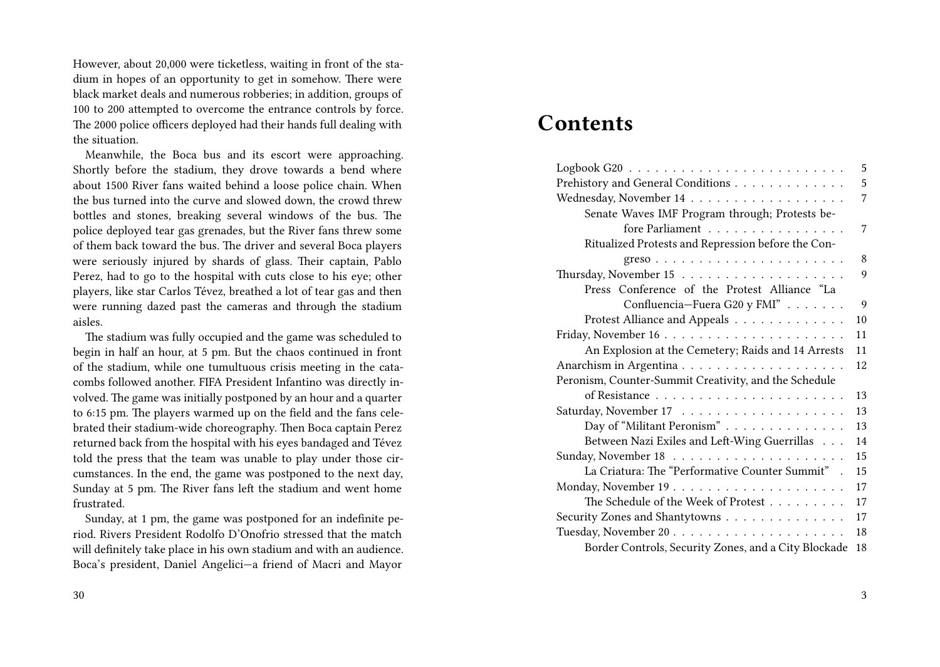However, about 20,000 were ticketless, waiting in front of the stadium in hopes of an opportunity to get in somehow. There were black market deals and numerous robberies; in addition, groups of 100 to 200 attempted to overcome the entrance controls by force. The 2000 police officers deployed had their hands full dealing with the situation.

Meanwhile, the Boca bus and its escort were approaching. Shortly before the stadium, they drove towards a bend where about 1500 River fans waited behind a loose police chain. When the bus turned into the curve and slowed down, the crowd threw bottles and stones, breaking several windows of the bus. The police deployed tear gas grenades, but the River fans threw some of them back toward the bus. The driver and several Boca players were seriously injured by shards of glass. Their captain, Pablo Perez, had to go to the hospital with cuts close to his eye; other players, like star Carlos Tévez, breathed a lot of tear gas and then were running dazed past the cameras and through the stadium aisles.

The stadium was fully occupied and the game was scheduled to begin in half an hour, at 5 pm. But the chaos continued in front of the stadium, while one tumultuous crisis meeting in the catacombs followed another. FIFA President Infantino was directly involved. The game was initially postponed by an hour and a quarter to 6:15 pm. The players warmed up on the field and the fans celebrated their stadium-wide choreography. Then Boca captain Perez returned back from the hospital with his eyes bandaged and Tévez told the press that the team was unable to play under those circumstances. In the end, the game was postponed to the next day, Sunday at 5 pm. The River fans left the stadium and went home frustrated.

Sunday, at 1 pm, the game was postponed for an indefinite period. Rivers President Rodolfo D'Onofrio stressed that the match will definitely take place in his own stadium and with an audience. Boca's president, Daniel Angelici—a friend of Macri and Mayor

#### 30

# **Contents**

|                                                                 | 5              |
|-----------------------------------------------------------------|----------------|
| Prehistory and General Conditions                               | 5              |
|                                                                 | $\overline{7}$ |
| Senate Waves IMF Program through; Protests be-                  |                |
| fore Parliament                                                 | 7              |
| Ritualized Protests and Repression before the Con-              |                |
| $greso \ldots \ldots \ldots \ldots \ldots \ldots \ldots \ldots$ | 8              |
|                                                                 | 9              |
| Press Conference of the Protest Alliance "La                    |                |
| Confluencia-Fuera G20 y FMI"                                    | 9              |
| Protest Alliance and Appeals                                    | 10             |
|                                                                 | 11             |
| An Explosion at the Cemetery; Raids and 14 Arrests              | 11             |
|                                                                 | 12             |
| Peronism, Counter-Summit Creativity, and the Schedule           |                |
|                                                                 | 13             |
|                                                                 | 13             |
| Day of "Militant Peronism"                                      | 13             |
| Between Nazi Exiles and Left-Wing Guerrillas                    | 14             |
|                                                                 | 15             |
| La Criatura: The "Performative Counter Summit" .                | 15             |
|                                                                 | 17             |
| The Schedule of the Week of Protest                             | 17             |
| Security Zones and Shantytowns                                  | 17             |
|                                                                 | 18             |
| Border Controls, Security Zones, and a City Blockade            | 18             |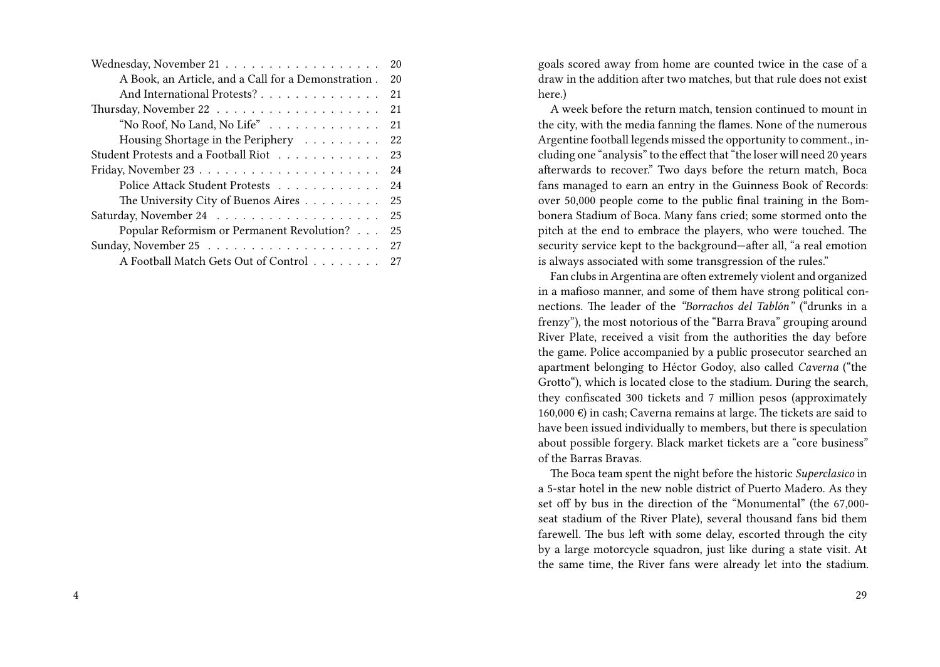|                                                     | 20 |
|-----------------------------------------------------|----|
| A Book, an Article, and a Call for a Demonstration. | 20 |
| And International Protests?                         | 21 |
|                                                     | 21 |
| "No Roof, No Land, No Life"                         | 21 |
| Housing Shortage in the Periphery                   | 22 |
| Student Protests and a Football Riot                | 23 |
|                                                     | 24 |
| Police Attack Student Protests                      | 24 |
| The University City of Buenos Aires                 | 25 |
|                                                     | 25 |
| Popular Reformism or Permanent Revolution?          | 25 |
|                                                     | 27 |
| A Football Match Gets Out of Control                | 27 |

goals scored away from home are counted twice in the case of a draw in the addition after two matches, but that rule does not exist here.)

A week before the return match, tension continued to mount in the city, with the media fanning the flames. None of the numerous Argentine football legends missed the opportunity to comment., including one "analysis" to the effect that "the loser will need 20 years afterwards to recover." Two days before the return match, Boca fans managed to earn an entry in the Guinness Book of Records: over 50,000 people come to the public final training in the Bombonera Stadium of Boca. Many fans cried; some stormed onto the pitch at the end to embrace the players, who were touched. The security service kept to the background—after all, "a real emotion is always associated with some transgression of the rules."

Fan clubs in Argentina are often extremely violent and organized in a mafioso manner, and some of them have strong political connections. The leader of the *"Borrachos del Tablón"* ("drunks in a frenzy"), the most notorious of the "Barra Brava" grouping around River Plate, received a visit from the authorities the day before the game. Police accompanied by a public prosecutor searched an apartment belonging to Héctor Godoy, also called *Caverna* ("the Grotto"), which is located close to the stadium. During the search, they confiscated 300 tickets and 7 million pesos (approximately 160,000 €) in cash; Caverna remains at large. The tickets are said to have been issued individually to members, but there is speculation about possible forgery. Black market tickets are a "core business" of the Barras Bravas.

The Boca team spent the night before the historic *Superclasico* in a 5-star hotel in the new noble district of Puerto Madero. As they set off by bus in the direction of the "Monumental" (the 67,000 seat stadium of the River Plate), several thousand fans bid them farewell. The bus left with some delay, escorted through the city by a large motorcycle squadron, just like during a state visit. At the same time, the River fans were already let into the stadium.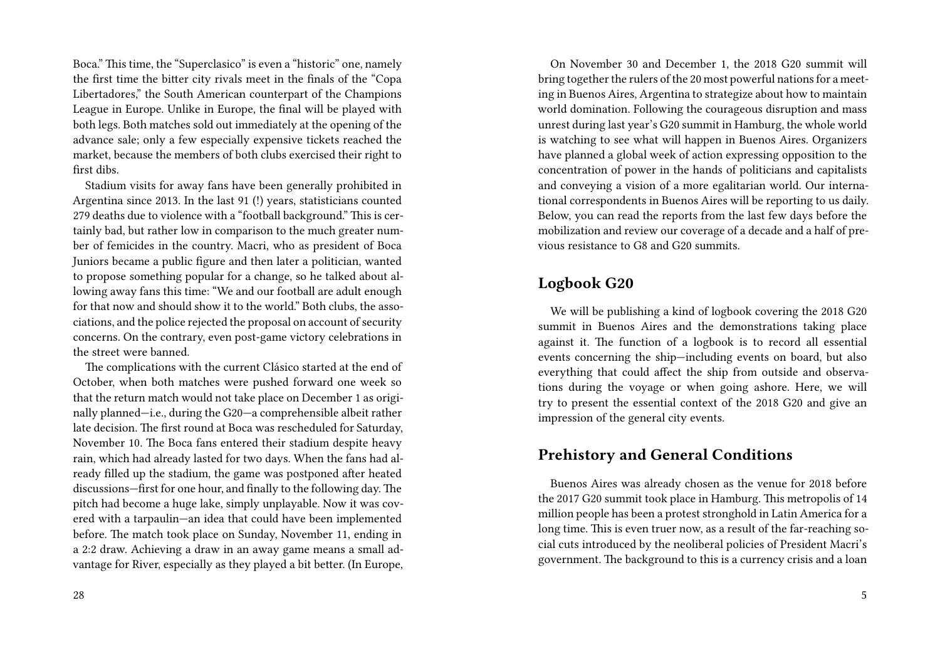Boca." This time, the "Superclasico" is even a "historic" one, namely the first time the bitter city rivals meet in the finals of the "Copa Libertadores," the South American counterpart of the Champions League in Europe. Unlike in Europe, the final will be played with both legs. Both matches sold out immediately at the opening of the advance sale; only a few especially expensive tickets reached the market, because the members of both clubs exercised their right to first dibs.

Stadium visits for away fans have been generally prohibited in Argentina since 2013. In the last 91 (!) years, statisticians counted 279 deaths due to violence with a "football background." This is certainly bad, but rather low in comparison to the much greater number of femicides in the country. Macri, who as president of Boca Juniors became a public figure and then later a politician, wanted to propose something popular for a change, so he talked about allowing away fans this time: "We and our football are adult enough for that now and should show it to the world." Both clubs, the associations, and the police rejected the proposal on account of security concerns. On the contrary, even post-game victory celebrations in the street were banned.

The complications with the current Clásico started at the end of October, when both matches were pushed forward one week so that the return match would not take place on December 1 as originally planned—i.e., during the G20—a comprehensible albeit rather late decision. The first round at Boca was rescheduled for Saturday, November 10. The Boca fans entered their stadium despite heavy rain, which had already lasted for two days. When the fans had already filled up the stadium, the game was postponed after heated discussions—first for one hour, and finally to the following day. The pitch had become a huge lake, simply unplayable. Now it was covered with a tarpaulin—an idea that could have been implemented before. The match took place on Sunday, November 11, ending in a 2:2 draw. Achieving a draw in an away game means a small advantage for River, especially as they played a bit better. (In Europe,

On November 30 and December 1, the 2018 G20 summit will bring together the rulers of the 20 most powerful nations for a meeting in Buenos Aires, Argentina to strategize about how to maintain world domination. Following the courageous disruption and mass unrest during last year's G20 summit in Hamburg, the whole world is watching to see what will happen in Buenos Aires. Organizers have planned a global week of action expressing opposition to the concentration of power in the hands of politicians and capitalists and conveying a vision of a more egalitarian world. Our international correspondents in Buenos Aires will be reporting to us daily. Below, you can read the reports from the last few days before the mobilization and review our coverage of a decade and a half of previous resistance to G8 and G20 summits.

### **Logbook G20**

We will be publishing a kind of logbook covering the 2018 G20 summit in Buenos Aires and the demonstrations taking place against it. The function of a logbook is to record all essential events concerning the ship—including events on board, but also everything that could affect the ship from outside and observations during the voyage or when going ashore. Here, we will try to present the essential context of the 2018 G20 and give an impression of the general city events.

## **Prehistory and General Conditions**

Buenos Aires was already chosen as the venue for 2018 before the 2017 G20 summit took place in Hamburg. This metropolis of 14 million people has been a protest stronghold in Latin America for a long time. This is even truer now, as a result of the far-reaching social cuts introduced by the neoliberal policies of President Macri's government. The background to this is a currency crisis and a loan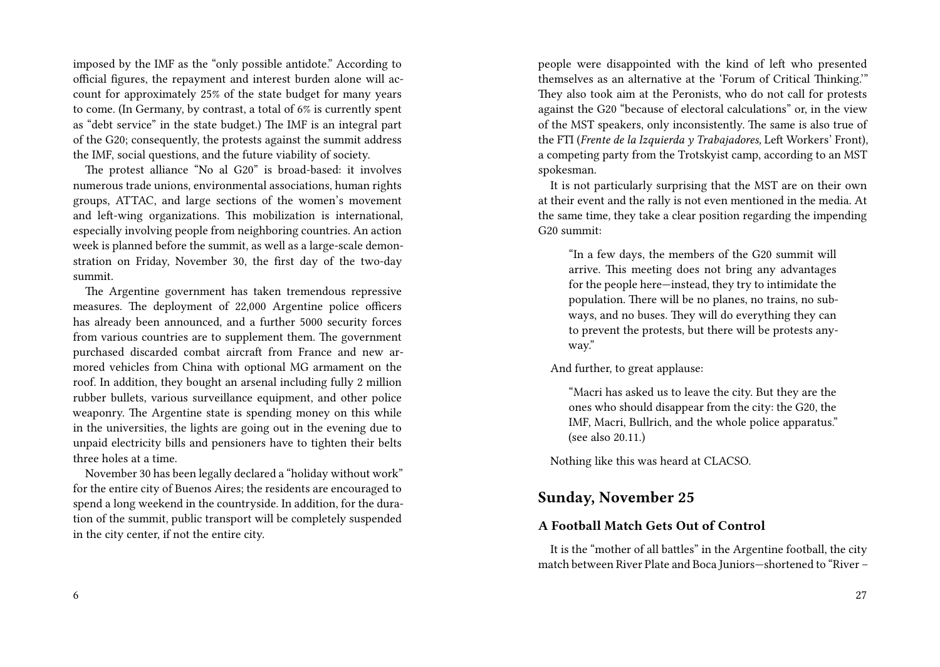imposed by the IMF as the "only possible antidote." According to official figures, the repayment and interest burden alone will account for approximately 25% of the state budget for many years to come. (In Germany, by contrast, a total of 6% is currently spent as "debt service" in the state budget.) The IMF is an integral part of the G20; consequently, the protests against the summit address the IMF, social questions, and the future viability of society.

The protest alliance "No al G20" is broad-based: it involves numerous trade unions, environmental associations, human rights groups, ATTAC, and large sections of the women's movement and left-wing organizations. This mobilization is international, especially involving people from neighboring countries. An action week is planned before the summit, as well as a large-scale demonstration on Friday, November 30, the first day of the two-day summit.

The Argentine government has taken tremendous repressive measures. The deployment of 22,000 Argentine police officers has already been announced, and a further 5000 security forces from various countries are to supplement them. The government purchased discarded combat aircraft from France and new armored vehicles from China with optional MG armament on the roof. In addition, they bought an arsenal including fully 2 million rubber bullets, various surveillance equipment, and other police weaponry. The Argentine state is spending money on this while in the universities, the lights are going out in the evening due to unpaid electricity bills and pensioners have to tighten their belts three holes at a time.

November 30 has been legally declared a "holiday without work" for the entire city of Buenos Aires; the residents are encouraged to spend a long weekend in the countryside. In addition, for the duration of the summit, public transport will be completely suspended in the city center, if not the entire city.

people were disappointed with the kind of left who presented themselves as an alternative at the 'Forum of Critical Thinking.'" They also took aim at the Peronists, who do not call for protests against the G20 "because of electoral calculations" or, in the view of the MST speakers, only inconsistently. The same is also true of the FTI (*Frente de la Izquierda y Trabajadores,* Left Workers' Front), a competing party from the Trotskyist camp, according to an MST spokesman.

It is not particularly surprising that the MST are on their own at their event and the rally is not even mentioned in the media. At the same time, they take a clear position regarding the impending G20 summit:

"In a few days, the members of the G20 summit will arrive. This meeting does not bring any advantages for the people here—instead, they try to intimidate the population. There will be no planes, no trains, no subways, and no buses. They will do everything they can to prevent the protests, but there will be protests anyway."

And further, to great applause:

"Macri has asked us to leave the city. But they are the ones who should disappear from the city: the G20, the IMF, Macri, Bullrich, and the whole police apparatus." (see also 20.11.)

Nothing like this was heard at CLACSO.

### **Sunday, November 25**

### **A Football Match Gets Out of Control**

It is the "mother of all battles" in the Argentine football, the city match between River Plate and Boca Juniors—shortened to "River –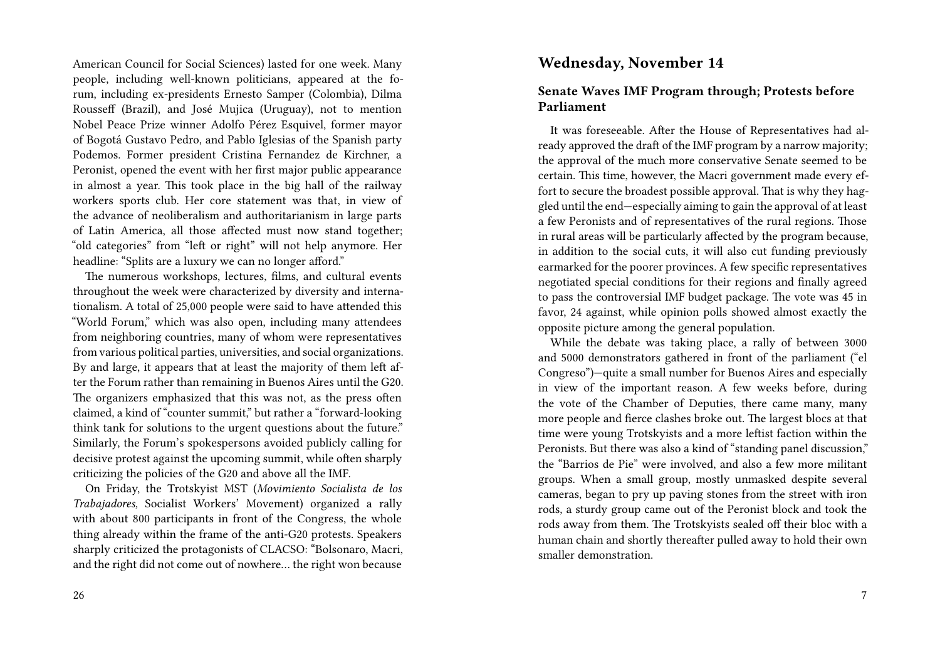American Council for Social Sciences) lasted for one week. Many people, including well-known politicians, appeared at the forum, including ex-presidents Ernesto Samper (Colombia), Dilma Rousseff (Brazil), and José Mujica (Uruguay), not to mention Nobel Peace Prize winner Adolfo Pérez Esquivel, former mayor of Bogotá Gustavo Pedro, and Pablo Iglesias of the Spanish party Podemos. Former president Cristina Fernandez de Kirchner, a Peronist, opened the event with her first major public appearance in almost a year. This took place in the big hall of the railway workers sports club. Her core statement was that, in view of the advance of neoliberalism and authoritarianism in large parts of Latin America, all those affected must now stand together; "old categories" from "left or right" will not help anymore. Her headline: "Splits are a luxury we can no longer afford."

The numerous workshops, lectures, films, and cultural events throughout the week were characterized by diversity and internationalism. A total of 25,000 people were said to have attended this "World Forum," which was also open, including many attendees from neighboring countries, many of whom were representatives from various political parties, universities, and social organizations. By and large, it appears that at least the majority of them left after the Forum rather than remaining in Buenos Aires until the G20. The organizers emphasized that this was not, as the press often claimed, a kind of "counter summit," but rather a "forward-looking think tank for solutions to the urgent questions about the future." Similarly, the Forum's spokespersons avoided publicly calling for decisive protest against the upcoming summit, while often sharply criticizing the policies of the G20 and above all the IMF.

On Friday, the Trotskyist MST (*Movimiento Socialista de los Trabajadores,* Socialist Workers' Movement) organized a rally with about 800 participants in front of the Congress, the whole thing already within the frame of the anti-G20 protests. Speakers sharply criticized the protagonists of CLACSO: "Bolsonaro, Macri, and the right did not come out of nowhere… the right won because

### **Wednesday, November 14**

### **Senate Waves IMF Program through; Protests before Parliament**

It was foreseeable. After the House of Representatives had already approved the draft of the IMF program by a narrow majority; the approval of the much more conservative Senate seemed to be certain. This time, however, the Macri government made every effort to secure the broadest possible approval. That is why they haggled until the end—especially aiming to gain the approval of at least a few Peronists and of representatives of the rural regions. Those in rural areas will be particularly affected by the program because, in addition to the social cuts, it will also cut funding previously earmarked for the poorer provinces. A few specific representatives negotiated special conditions for their regions and finally agreed to pass the controversial IMF budget package. The vote was 45 in favor, 24 against, while opinion polls showed almost exactly the opposite picture among the general population.

While the debate was taking place, a rally of between 3000 and 5000 demonstrators gathered in front of the parliament ("el Congreso")—quite a small number for Buenos Aires and especially in view of the important reason. A few weeks before, during the vote of the Chamber of Deputies, there came many, many more people and fierce clashes broke out. The largest blocs at that time were young Trotskyists and a more leftist faction within the Peronists. But there was also a kind of "standing panel discussion," the "Barrios de Pie" were involved, and also a few more militant groups. When a small group, mostly unmasked despite several cameras, began to pry up paving stones from the street with iron rods, a sturdy group came out of the Peronist block and took the rods away from them. The Trotskyists sealed off their bloc with a human chain and shortly thereafter pulled away to hold their own smaller demonstration.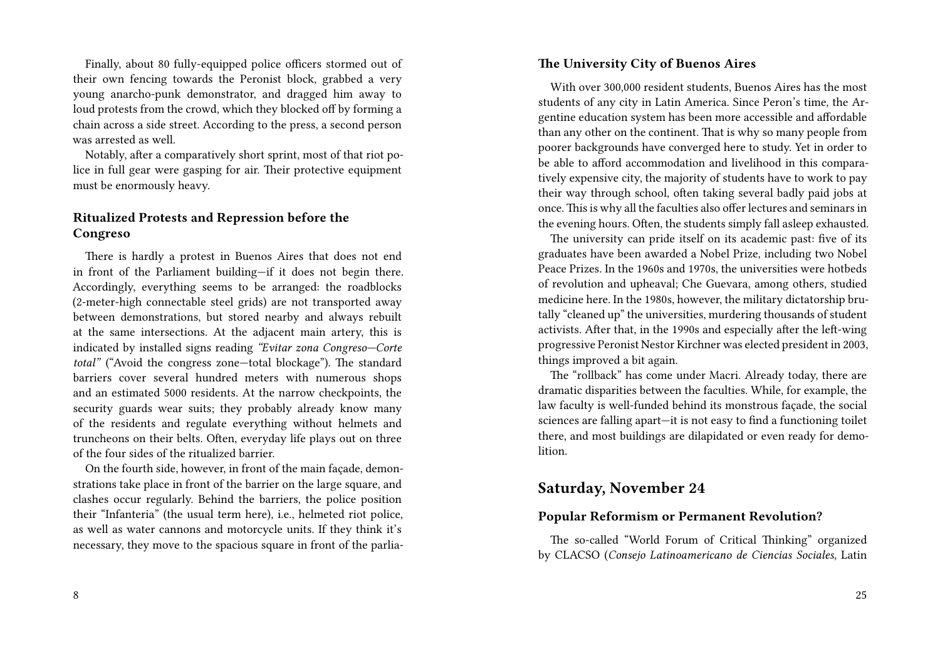Finally, about 80 fully-equipped police officers stormed out of their own fencing towards the Peronist block, grabbed a very young anarcho-punk demonstrator, and dragged him away to loud protests from the crowd, which they blocked off by forming a chain across a side street. According to the press, a second person was arrested as well.

Notably, after a comparatively short sprint, most of that riot police in full gear were gasping for air. Their protective equipment must be enormously heavy.

### **Ritualized Protests and Repression before the Congreso**

There is hardly a protest in Buenos Aires that does not end in front of the Parliament building—if it does not begin there. Accordingly, everything seems to be arranged: the roadblocks (2-meter-high connectable steel grids) are not transported away between demonstrations, but stored nearby and always rebuilt at the same intersections. At the adjacent main artery, this is indicated by installed signs reading *"Evitar zona Congreso—Corte total"* ("Avoid the congress zone—total blockage"). The standard barriers cover several hundred meters with numerous shops and an estimated 5000 residents. At the narrow checkpoints, the security guards wear suits; they probably already know many of the residents and regulate everything without helmets and truncheons on their belts. Often, everyday life plays out on three of the four sides of the ritualized barrier.

On the fourth side, however, in front of the main façade, demonstrations take place in front of the barrier on the large square, and clashes occur regularly. Behind the barriers, the police position their "Infanteria" (the usual term here), i.e., helmeted riot police, as well as water cannons and motorcycle units. If they think it's necessary, they move to the spacious square in front of the parlia-

#### 8

#### **The University City of Buenos Aires**

With over 300,000 resident students, Buenos Aires has the most students of any city in Latin America. Since Peron's time, the Argentine education system has been more accessible and affordable than any other on the continent. That is why so many people from poorer backgrounds have converged here to study. Yet in order to be able to afford accommodation and livelihood in this comparatively expensive city, the majority of students have to work to pay their way through school, often taking several badly paid jobs at once. This is why all the faculties also offer lectures and seminars in the evening hours. Often, the students simply fall asleep exhausted.

The university can pride itself on its academic past: five of its graduates have been awarded a Nobel Prize, including two Nobel Peace Prizes. In the 1960s and 1970s, the universities were hotbeds of revolution and upheaval; Che Guevara, among others, studied medicine here. In the 1980s, however, the military dictatorship brutally "cleaned up" the universities, murdering thousands of student activists. After that, in the 1990s and especially after the left-wing progressive Peronist Nestor Kirchner was elected president in 2003, things improved a bit again.

The "rollback" has come under Macri. Already today, there are dramatic disparities between the faculties. While, for example, the law faculty is well-funded behind its monstrous façade, the social sciences are falling apart—it is not easy to find a functioning toilet there, and most buildings are dilapidated or even ready for demolition.

### **Saturday, November 24**

#### **Popular Reformism or Permanent Revolution?**

The so-called "World Forum of Critical Thinking" organized by CLACSO (*Consejo Latinoamericano de Ciencias Sociales,* Latin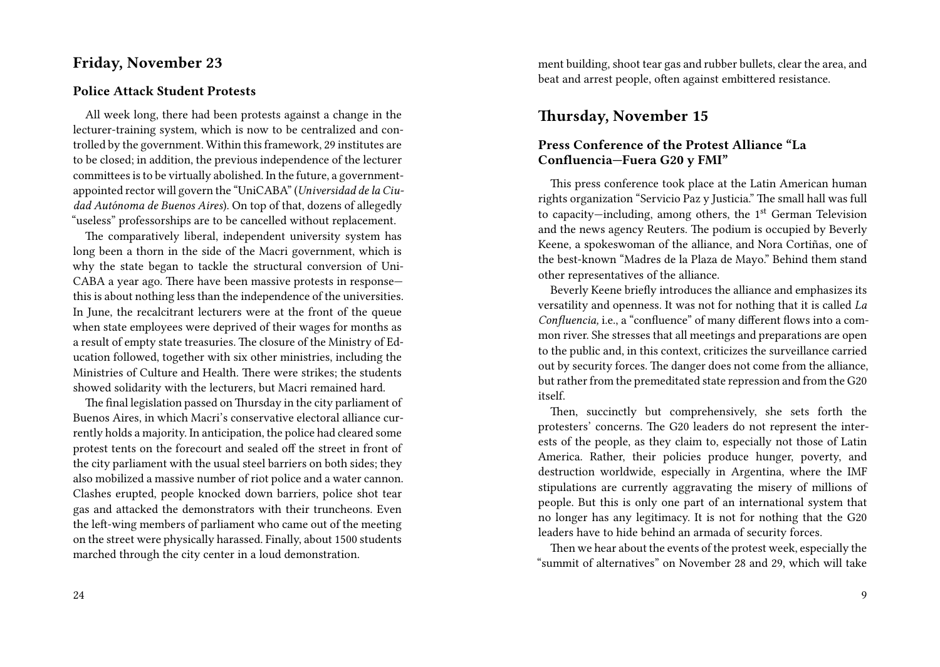### **Friday, November 23**

#### **Police Attack Student Protests**

All week long, there had been protests against a change in the lecturer-training system, which is now to be centralized and controlled by the government. Within this framework, 29 institutes are to be closed; in addition, the previous independence of the lecturer committees is to be virtually abolished. In the future, a governmentappointed rector will govern the "UniCABA" (*Universidad de la Ciudad Autónoma de Buenos Aires*). On top of that, dozens of allegedly "useless" professorships are to be cancelled without replacement.

The comparatively liberal, independent university system has long been a thorn in the side of the Macri government, which is why the state began to tackle the structural conversion of Uni-CABA a year ago. There have been massive protests in response this is about nothing less than the independence of the universities. In June, the recalcitrant lecturers were at the front of the queue when state employees were deprived of their wages for months as a result of empty state treasuries. The closure of the Ministry of Education followed, together with six other ministries, including the Ministries of Culture and Health. There were strikes; the students showed solidarity with the lecturers, but Macri remained hard.

The final legislation passed on Thursday in the city parliament of Buenos Aires, in which Macri's conservative electoral alliance currently holds a majority. In anticipation, the police had cleared some protest tents on the forecourt and sealed off the street in front of the city parliament with the usual steel barriers on both sides; they also mobilized a massive number of riot police and a water cannon. Clashes erupted, people knocked down barriers, police shot tear gas and attacked the demonstrators with their truncheons. Even the left-wing members of parliament who came out of the meeting on the street were physically harassed. Finally, about 1500 students marched through the city center in a loud demonstration.

24

ment building, shoot tear gas and rubber bullets, clear the area, and beat and arrest people, often against embittered resistance.

### **Thursday, November 15**

### **Press Conference of the Protest Alliance "La Confluencia—Fuera G20 y FMI"**

This press conference took place at the Latin American human rights organization "Servicio Paz y Justicia." The small hall was full to capacity—including, among others, the  $1<sup>st</sup>$  German Television and the news agency Reuters. The podium is occupied by Beverly Keene, a spokeswoman of the alliance, and Nora Cortiñas, one of the best-known "Madres de la Plaza de Mayo." Behind them stand other representatives of the alliance.

Beverly Keene briefly introduces the alliance and emphasizes its versatility and openness. It was not for nothing that it is called *La Confluencia,* i.e., a "confluence" of many different flows into a common river. She stresses that all meetings and preparations are open to the public and, in this context, criticizes the surveillance carried out by security forces. The danger does not come from the alliance, but rather from the premeditated state repression and from the G20 itself.

Then, succinctly but comprehensively, she sets forth the protesters' concerns. The G20 leaders do not represent the interests of the people, as they claim to, especially not those of Latin America. Rather, their policies produce hunger, poverty, and destruction worldwide, especially in Argentina, where the IMF stipulations are currently aggravating the misery of millions of people. But this is only one part of an international system that no longer has any legitimacy. It is not for nothing that the G20 leaders have to hide behind an armada of security forces.

Then we hear about the events of the protest week, especially the "summit of alternatives" on November 28 and 29, which will take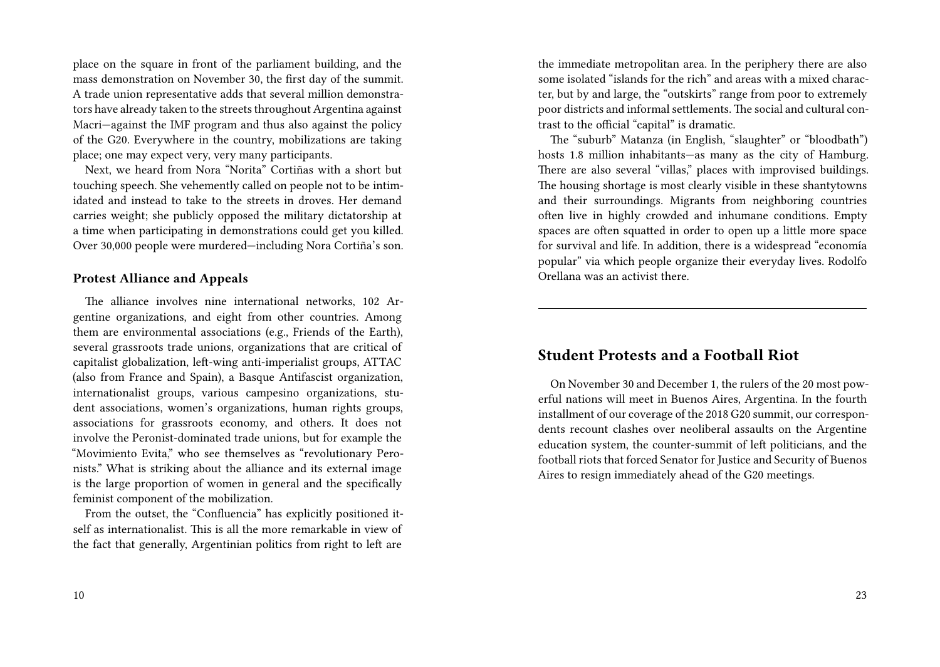place on the square in front of the parliament building, and the mass demonstration on November 30, the first day of the summit. A trade union representative adds that several million demonstrators have already taken to the streets throughout Argentina against Macri—against the IMF program and thus also against the policy of the G20. Everywhere in the country, mobilizations are taking place; one may expect very, very many participants.

Next, we heard from Nora "Norita" Cortiñas with a short but touching speech. She vehemently called on people not to be intimidated and instead to take to the streets in droves. Her demand carries weight; she publicly opposed the military dictatorship at a time when participating in demonstrations could get you killed. Over 30,000 people were murdered—including Nora Cortiña's son.

#### **Protest Alliance and Appeals**

The alliance involves nine international networks, 102 Argentine organizations, and eight from other countries. Among them are environmental associations (e.g., Friends of the Earth), several grassroots trade unions, organizations that are critical of capitalist globalization, left-wing anti-imperialist groups, ATTAC (also from France and Spain), a Basque Antifascist organization, internationalist groups, various campesino organizations, student associations, women's organizations, human rights groups, associations for grassroots economy, and others. It does not involve the Peronist-dominated trade unions, but for example the "Movimiento Evita," who see themselves as "revolutionary Peronists." What is striking about the alliance and its external image is the large proportion of women in general and the specifically feminist component of the mobilization.

From the outset, the "Confluencia" has explicitly positioned itself as internationalist. This is all the more remarkable in view of the fact that generally, Argentinian politics from right to left are

the immediate metropolitan area. In the periphery there are also some isolated "islands for the rich" and areas with a mixed character, but by and large, the "outskirts" range from poor to extremely poor districts and informal settlements. The social and cultural contrast to the official "capital" is dramatic.

The "suburb" Matanza (in English, "slaughter" or "bloodbath") hosts 1.8 million inhabitants—as many as the city of Hamburg. There are also several "villas," places with improvised buildings. The housing shortage is most clearly visible in these shantytowns and their surroundings. Migrants from neighboring countries often live in highly crowded and inhumane conditions. Empty spaces are often squatted in order to open up a little more space for survival and life. In addition, there is a widespread "economía popular" via which people organize their everyday lives. Rodolfo Orellana was an activist there.

### **Student Protests and a Football Riot**

On November 30 and December 1, the rulers of the 20 most powerful nations will meet in Buenos Aires, Argentina. In the fourth installment of our coverage of the 2018 G20 summit, our correspondents recount clashes over neoliberal assaults on the Argentine education system, the counter-summit of left politicians, and the football riots that forced Senator for Justice and Security of Buenos Aires to resign immediately ahead of the G20 meetings.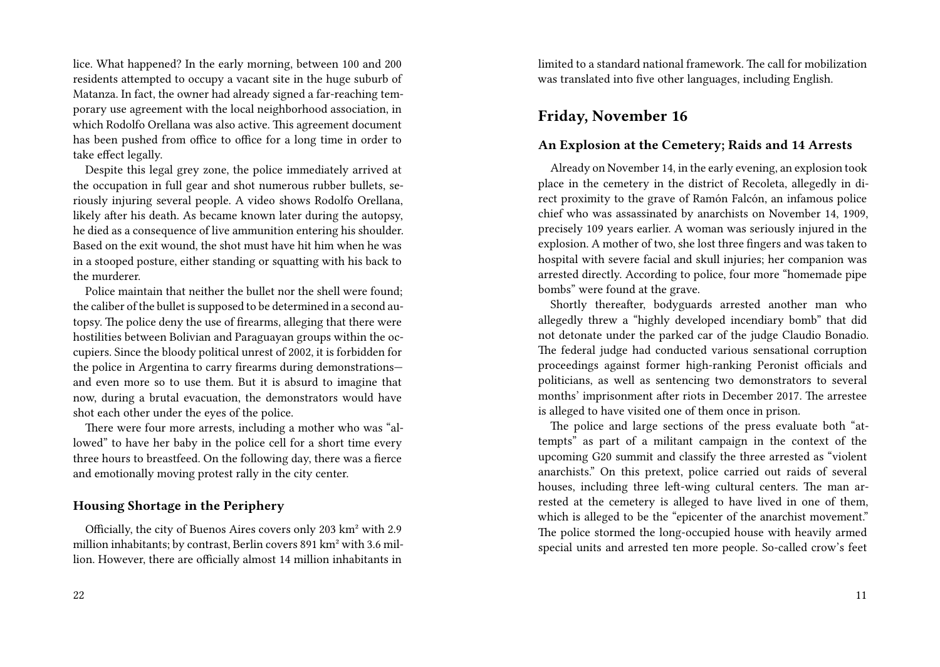lice. What happened? In the early morning, between 100 and 200 residents attempted to occupy a vacant site in the huge suburb of Matanza. In fact, the owner had already signed a far-reaching temporary use agreement with the local neighborhood association, in which Rodolfo Orellana was also active. This agreement document has been pushed from office to office for a long time in order to take effect legally.

Despite this legal grey zone, the police immediately arrived at the occupation in full gear and shot numerous rubber bullets, seriously injuring several people. A video shows Rodolfo Orellana, likely after his death. As became known later during the autopsy, he died as a consequence of live ammunition entering his shoulder. Based on the exit wound, the shot must have hit him when he was in a stooped posture, either standing or squatting with his back to the murderer.

Police maintain that neither the bullet nor the shell were found; the caliber of the bullet is supposed to be determined in a second autopsy. The police deny the use of firearms, alleging that there were hostilities between Bolivian and Paraguayan groups within the occupiers. Since the bloody political unrest of 2002, it is forbidden for the police in Argentina to carry firearms during demonstrations and even more so to use them. But it is absurd to imagine that now, during a brutal evacuation, the demonstrators would have shot each other under the eyes of the police.

There were four more arrests, including a mother who was "allowed" to have her baby in the police cell for a short time every three hours to breastfeed. On the following day, there was a fierce and emotionally moving protest rally in the city center.

#### **Housing Shortage in the Periphery**

Officially, the city of Buenos Aires covers only 203 km² with 2.9 million inhabitants; by contrast, Berlin covers 891 km² with 3.6 million. However, there are officially almost 14 million inhabitants in

limited to a standard national framework. The call for mobilization was translated into five other languages, including English.

### **Friday, November 16**

#### **An Explosion at the Cemetery; Raids and 14 Arrests**

Already on November 14, in the early evening, an explosion took place in the cemetery in the district of Recoleta, allegedly in direct proximity to the grave of Ramón Falcón, an infamous police chief who was assassinated by anarchists on November 14, 1909, precisely 109 years earlier. A woman was seriously injured in the explosion. A mother of two, she lost three fingers and was taken to hospital with severe facial and skull injuries; her companion was arrested directly. According to police, four more "homemade pipe bombs" were found at the grave.

Shortly thereafter, bodyguards arrested another man who allegedly threw a "highly developed incendiary bomb" that did not detonate under the parked car of the judge Claudio Bonadio. The federal judge had conducted various sensational corruption proceedings against former high-ranking Peronist officials and politicians, as well as sentencing two demonstrators to several months' imprisonment after riots in December 2017. The arrestee is alleged to have visited one of them once in prison.

The police and large sections of the press evaluate both "attempts" as part of a militant campaign in the context of the upcoming G20 summit and classify the three arrested as "violent anarchists." On this pretext, police carried out raids of several houses, including three left-wing cultural centers. The man arrested at the cemetery is alleged to have lived in one of them, which is alleged to be the "epicenter of the anarchist movement." The police stormed the long-occupied house with heavily armed special units and arrested ten more people. So-called crow's feet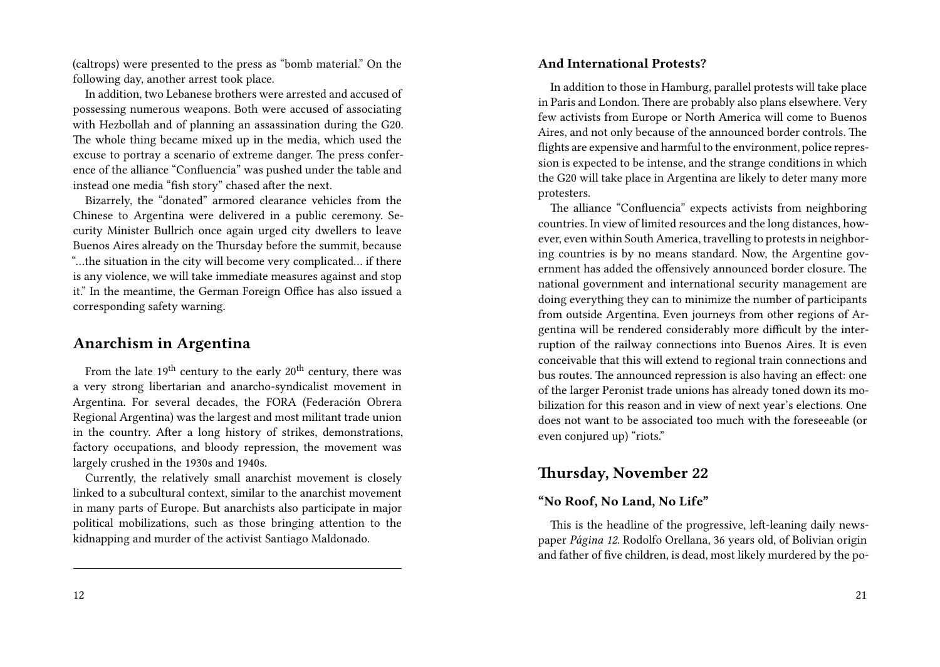(caltrops) were presented to the press as "bomb material." On the following day, another arrest took place.

In addition, two Lebanese brothers were arrested and accused of possessing numerous weapons. Both were accused of associating with Hezbollah and of planning an assassination during the G20. The whole thing became mixed up in the media, which used the excuse to portray a scenario of extreme danger. The press conference of the alliance "Confluencia" was pushed under the table and instead one media "fish story" chased after the next.

Bizarrely, the "donated" armored clearance vehicles from the Chinese to Argentina were delivered in a public ceremony. Security Minister Bullrich once again urged city dwellers to leave Buenos Aires already on the Thursday before the summit, because "…the situation in the city will become very complicated… if there is any violence, we will take immediate measures against and stop it." In the meantime, the German Foreign Office has also issued a corresponding safety warning.

### **Anarchism in Argentina**

From the late  $19^{th}$  century to the early  $20^{th}$  century, there was a very strong libertarian and anarcho-syndicalist movement in Argentina. For several decades, the FORA (Federación Obrera Regional Argentina) was the largest and most militant trade union in the country. After a long history of strikes, demonstrations, factory occupations, and bloody repression, the movement was largely crushed in the 1930s and 1940s.

Currently, the relatively small anarchist movement is closely linked to a subcultural context, similar to the anarchist movement in many parts of Europe. But anarchists also participate in major political mobilizations, such as those bringing attention to the kidnapping and murder of the activist Santiago Maldonado.

#### **And International Protests?**

In addition to those in Hamburg, parallel protests will take place in Paris and London. There are probably also plans elsewhere. Very few activists from Europe or North America will come to Buenos Aires, and not only because of the announced border controls. The flights are expensive and harmful to the environment, police repression is expected to be intense, and the strange conditions in which the G20 will take place in Argentina are likely to deter many more protesters.

The alliance "Confluencia" expects activists from neighboring countries. In view of limited resources and the long distances, however, even within South America, travelling to protests in neighboring countries is by no means standard. Now, the Argentine government has added the offensively announced border closure. The national government and international security management are doing everything they can to minimize the number of participants from outside Argentina. Even journeys from other regions of Argentina will be rendered considerably more difficult by the interruption of the railway connections into Buenos Aires. It is even conceivable that this will extend to regional train connections and bus routes. The announced repression is also having an effect: one of the larger Peronist trade unions has already toned down its mobilization for this reason and in view of next year's elections. One does not want to be associated too much with the foreseeable (or even conjured up) "riots."

### **Thursday, November 22**

#### **"No Roof, No Land, No Life"**

This is the headline of the progressive, left-leaning daily newspaper *Página 12.* Rodolfo Orellana, 36 years old, of Bolivian origin and father of five children, is dead, most likely murdered by the po-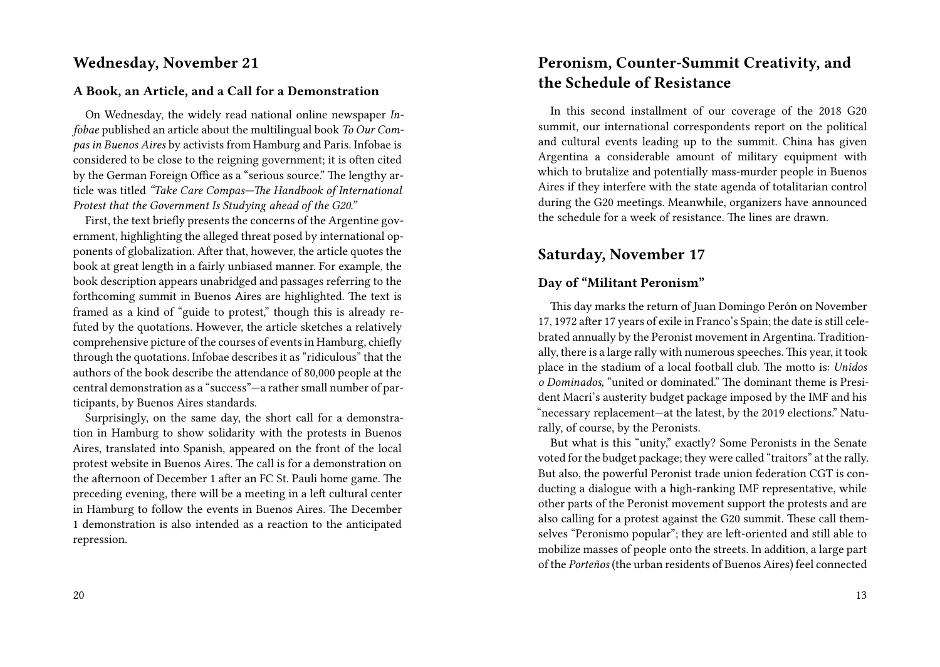### **Wednesday, November 21**

#### **A Book, an Article, and a Call for a Demonstration**

On Wednesday, the widely read national online newspaper *Infobae* published an article about the multilingual book *To Our Compas in Buenos Aires* by activists from Hamburg and Paris. Infobae is considered to be close to the reigning government; it is often cited by the German Foreign Office as a "serious source." The lengthy article was titled *"Take Care Compas—The Handbook of International Protest that the Government Is Studying ahead of the G20."*

First, the text briefly presents the concerns of the Argentine government, highlighting the alleged threat posed by international opponents of globalization. After that, however, the article quotes the book at great length in a fairly unbiased manner. For example, the book description appears unabridged and passages referring to the forthcoming summit in Buenos Aires are highlighted. The text is framed as a kind of "guide to protest," though this is already refuted by the quotations. However, the article sketches a relatively comprehensive picture of the courses of events in Hamburg, chiefly through the quotations. Infobae describes it as "ridiculous" that the authors of the book describe the attendance of 80,000 people at the central demonstration as a "success"—a rather small number of participants, by Buenos Aires standards.

Surprisingly, on the same day, the short call for a demonstration in Hamburg to show solidarity with the protests in Buenos Aires, translated into Spanish, appeared on the front of the local protest website in Buenos Aires. The call is for a demonstration on the afternoon of December 1 after an FC St. Pauli home game. The preceding evening, there will be a meeting in a left cultural center in Hamburg to follow the events in Buenos Aires. The December 1 demonstration is also intended as a reaction to the anticipated repression.

#### 20

## **Peronism, Counter-Summit Creativity, and the Schedule of Resistance**

In this second installment of our coverage of the 2018 G20 summit, our international correspondents report on the political and cultural events leading up to the summit. China has given Argentina a considerable amount of military equipment with which to brutalize and potentially mass-murder people in Buenos Aires if they interfere with the state agenda of totalitarian control during the G20 meetings. Meanwhile, organizers have announced the schedule for a week of resistance. The lines are drawn.

### **Saturday, November 17**

### **Day of "Militant Peronism"**

This day marks the return of Juan Domingo Perón on November 17, 1972 after 17 years of exile in Franco's Spain; the date is still celebrated annually by the Peronist movement in Argentina. Traditionally, there is a large rally with numerous speeches. This year, it took place in the stadium of a local football club. The motto is: *Unidos o Dominados,* "united or dominated." The dominant theme is President Macri's austerity budget package imposed by the IMF and his "necessary replacement—at the latest, by the 2019 elections." Naturally, of course, by the Peronists.

But what is this "unity," exactly? Some Peronists in the Senate voted for the budget package; they were called "traitors" at the rally. But also, the powerful Peronist trade union federation CGT is conducting a dialogue with a high-ranking IMF representative, while other parts of the Peronist movement support the protests and are also calling for a protest against the G20 summit. These call themselves "Peronismo popular"; they are left-oriented and still able to mobilize masses of people onto the streets. In addition, a large part of the *Porteños* (the urban residents of Buenos Aires) feel connected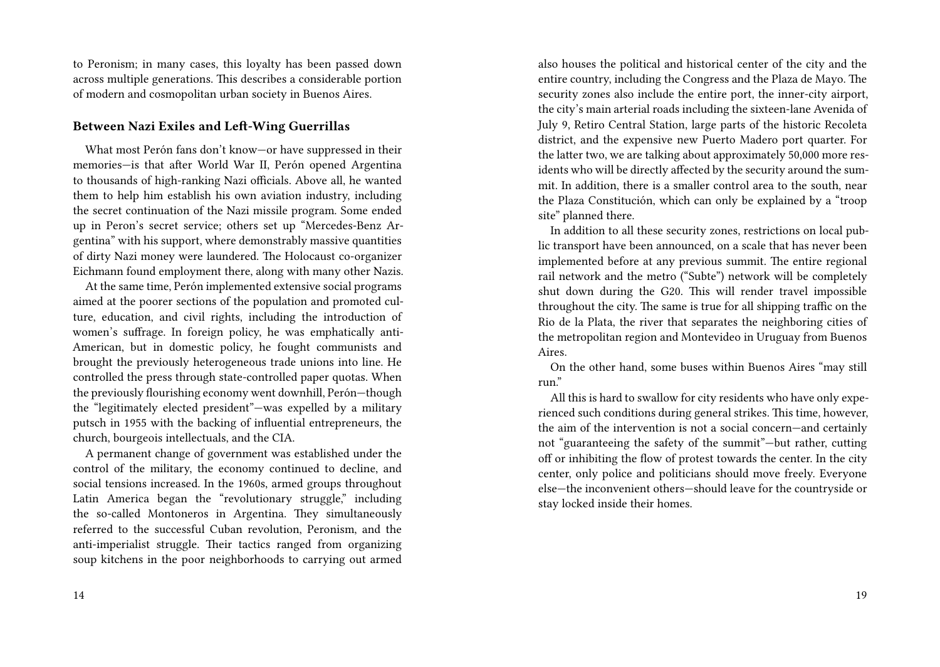to Peronism; in many cases, this loyalty has been passed down across multiple generations. This describes a considerable portion of modern and cosmopolitan urban society in Buenos Aires.

#### **Between Nazi Exiles and Left-Wing Guerrillas**

What most Perón fans don't know—or have suppressed in their memories—is that after World War II, Perón opened Argentina to thousands of high-ranking Nazi officials. Above all, he wanted them to help him establish his own aviation industry, including the secret continuation of the Nazi missile program. Some ended up in Peron's secret service; others set up "Mercedes-Benz Argentina" with his support, where demonstrably massive quantities of dirty Nazi money were laundered. The Holocaust co-organizer Eichmann found employment there, along with many other Nazis.

At the same time, Perón implemented extensive social programs aimed at the poorer sections of the population and promoted culture, education, and civil rights, including the introduction of women's suffrage. In foreign policy, he was emphatically anti-American, but in domestic policy, he fought communists and brought the previously heterogeneous trade unions into line. He controlled the press through state-controlled paper quotas. When the previously flourishing economy went downhill, Perón—though the "legitimately elected president"—was expelled by a military putsch in 1955 with the backing of influential entrepreneurs, the church, bourgeois intellectuals, and the CIA.

A permanent change of government was established under the control of the military, the economy continued to decline, and social tensions increased. In the 1960s, armed groups throughout Latin America began the "revolutionary struggle," including the so-called Montoneros in Argentina. They simultaneously referred to the successful Cuban revolution, Peronism, and the anti-imperialist struggle. Their tactics ranged from organizing soup kitchens in the poor neighborhoods to carrying out armed

also houses the political and historical center of the city and the entire country, including the Congress and the Plaza de Mayo. The security zones also include the entire port, the inner-city airport, the city's main arterial roads including the sixteen-lane Avenida of July 9, Retiro Central Station, large parts of the historic Recoleta district, and the expensive new Puerto Madero port quarter. For the latter two, we are talking about approximately 50,000 more residents who will be directly affected by the security around the summit. In addition, there is a smaller control area to the south, near the Plaza Constitución, which can only be explained by a "troop site" planned there.

In addition to all these security zones, restrictions on local public transport have been announced, on a scale that has never been implemented before at any previous summit. The entire regional rail network and the metro ("Subte") network will be completely shut down during the G20. This will render travel impossible throughout the city. The same is true for all shipping traffic on the Rio de la Plata, the river that separates the neighboring cities of the metropolitan region and Montevideo in Uruguay from Buenos Aires.

On the other hand, some buses within Buenos Aires "may still run."

All this is hard to swallow for city residents who have only experienced such conditions during general strikes. This time, however, the aim of the intervention is not a social concern—and certainly not "guaranteeing the safety of the summit"—but rather, cutting off or inhibiting the flow of protest towards the center. In the city center, only police and politicians should move freely. Everyone else—the inconvenient others—should leave for the countryside or stay locked inside their homes.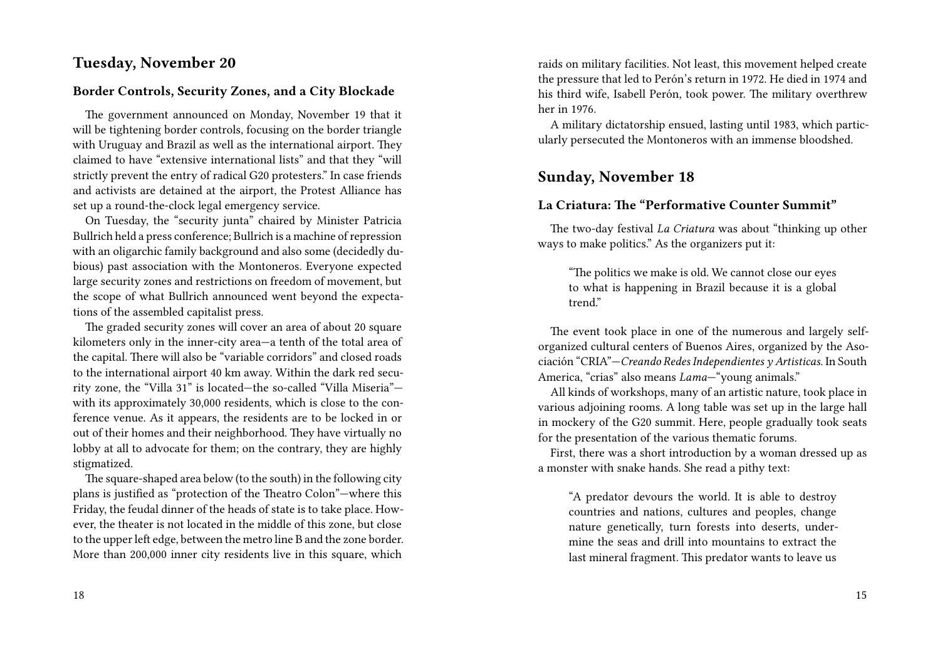### **Tuesday, November 20**

#### **Border Controls, Security Zones, and a City Blockade**

The government announced on Monday, November 19 that it will be tightening border controls, focusing on the border triangle with Uruguay and Brazil as well as the international airport. They claimed to have "extensive international lists" and that they "will strictly prevent the entry of radical G20 protesters." In case friends and activists are detained at the airport, the Protest Alliance has set up a round-the-clock legal emergency service.

On Tuesday, the "security junta" chaired by Minister Patricia Bullrich held a press conference; Bullrich is a machine of repression with an oligarchic family background and also some (decidedly dubious) past association with the Montoneros. Everyone expected large security zones and restrictions on freedom of movement, but the scope of what Bullrich announced went beyond the expectations of the assembled capitalist press.

The graded security zones will cover an area of about 20 square kilometers only in the inner-city area—a tenth of the total area of the capital. There will also be "variable corridors" and closed roads to the international airport 40 km away. Within the dark red security zone, the "Villa 31" is located—the so-called "Villa Miseria" with its approximately 30,000 residents, which is close to the conference venue. As it appears, the residents are to be locked in or out of their homes and their neighborhood. They have virtually no lobby at all to advocate for them; on the contrary, they are highly stigmatized.

The square-shaped area below (to the south) in the following city plans is justified as "protection of the Theatro Colon"—where this Friday, the feudal dinner of the heads of state is to take place. However, the theater is not located in the middle of this zone, but close to the upper left edge, between the metro line B and the zone border. More than 200,000 inner city residents live in this square, which raids on military facilities. Not least, this movement helped create the pressure that led to Perón's return in 1972. He died in 1974 and his third wife, Isabell Perón, took power. The military overthrew her in 1976.

A military dictatorship ensued, lasting until 1983, which particularly persecuted the Montoneros with an immense bloodshed.

### **Sunday, November 18**

### **La Criatura: The "Performative Counter Summit"**

The two-day festival *La Criatura* was about "thinking up other ways to make politics." As the organizers put it:

"The politics we make is old. We cannot close our eyes to what is happening in Brazil because it is a global trend."

The event took place in one of the numerous and largely selforganized cultural centers of Buenos Aires, organized by the Asociación "CRIA"—*Creando Redes Independientes y Artisticas.* In South America, "crias" also means *Lama*—"young animals."

All kinds of workshops, many of an artistic nature, took place in various adjoining rooms. A long table was set up in the large hall in mockery of the G20 summit. Here, people gradually took seats for the presentation of the various thematic forums.

First, there was a short introduction by a woman dressed up as a monster with snake hands. She read a pithy text:

"A predator devours the world. It is able to destroy countries and nations, cultures and peoples, change nature genetically, turn forests into deserts, undermine the seas and drill into mountains to extract the last mineral fragment. This predator wants to leave us